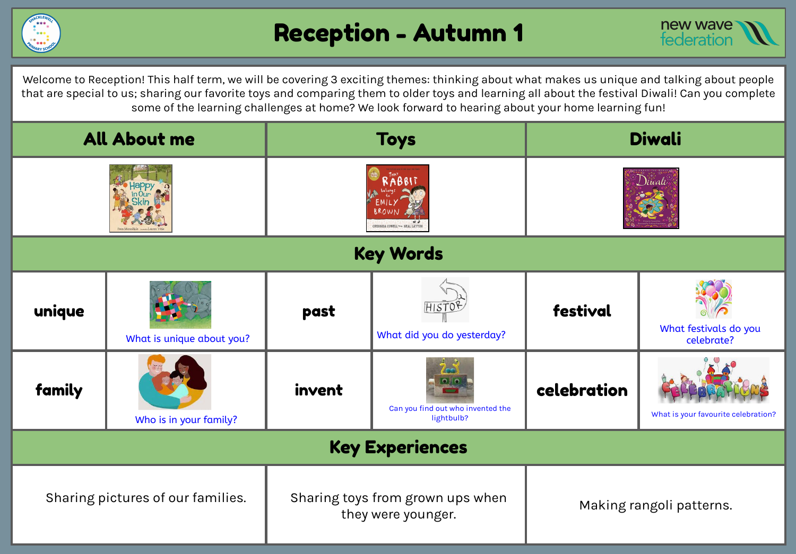



Welcome to Reception! This half term, we will be covering 3 exciting themes: thinking about what makes us unique and talking about people that are special to us; sharing our favorite toys and comparing them to older toys and learning all about the festival Diwali! Can you complete some of the learning challenges at home? We look forward to hearing about your home learning fun!

| <b>All About me</b>               |                           | <b>Toys</b>                                            |                                                 | <b>Diwali</b>            |                                     |  |
|-----------------------------------|---------------------------|--------------------------------------------------------|-------------------------------------------------|--------------------------|-------------------------------------|--|
|                                   |                           | <b>BB17</b><br>CRESSIDA COWELL *** NEAL LAYTOP         |                                                 | Diwali                   |                                     |  |
| <b>Key Words</b>                  |                           |                                                        |                                                 |                          |                                     |  |
| unique                            | What is unique about you? | past                                                   | <b>HISTG</b><br>What did you do yesterday?      | festival                 | What festivals do you<br>celebrate? |  |
| family                            | Who is in your family?    | invent                                                 | Can you find out who invented the<br>lightbulb? | celebration              | What is your favourite celebration? |  |
| <b>Key Experiences</b>            |                           |                                                        |                                                 |                          |                                     |  |
| Sharing pictures of our families. |                           | Sharing toys from grown ups when<br>they were younger. |                                                 | Making rangoli patterns. |                                     |  |